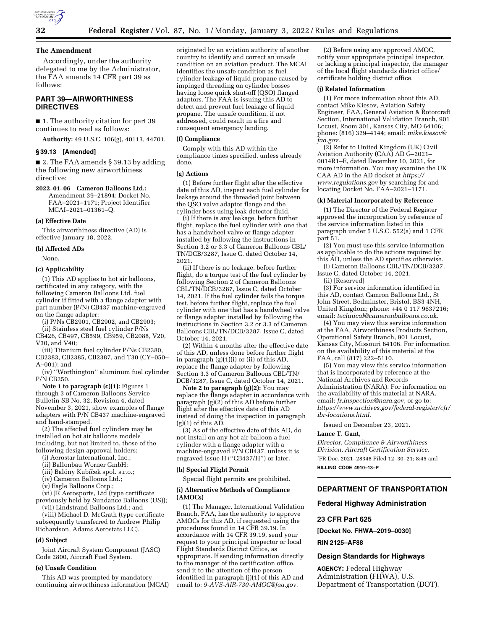

### **The Amendment**

Accordingly, under the authority delegated to me by the Administrator, the FAA amends 14 CFR part 39 as follows:

# **PART 39—AIRWORTHINESS DIRECTIVES**

■ 1. The authority citation for part 39 continues to read as follows:

**Authority:** 49 U.S.C. 106(g), 40113, 44701.

#### **§ 39.13 [Amended]**

■ 2. The FAA amends § 39.13 by adding the following new airworthiness directive:

**2022–01–06 Cameron Balloons Ltd.:**  Amendment 39–21894; Docket No. FAA–2021–1171; Project Identifier MCAI–2021–01361–Q.

### **(a) Effective Date**

This airworthiness directive (AD) is effective January 18, 2022.

**(b) Affected ADs** 

None.

#### **(c) Applicability**

(1) This AD applies to hot air balloons, certificated in any category, with the following Cameron Balloons Ltd. fuel cylinder if fitted with a flange adapter with part number (P/N) CB437 machine-engraved on the flange adapter:

(i) P/Ns CB2901, CB2902, and CB2903;

(ii) Stainless steel fuel cylinder P/Ns CB426, CB497, CB599, CB959, CB2088, V20, V30, and V40;

(iii) Titanium fuel cylinder P/Ns CB2380, CB2383, CB2385, CB2387, and T30 (CY–050– A–001); and

(iv) ''Worthington'' aluminum fuel cylinder P/N CB250.

**Note 1 to paragraph (c)(1):** Figures 1 through 3 of Cameron Balloons Service Bulletin SB No. 32, Revision 4, dated November 3, 2021, show examples of flange adapters with P/N CB437 machine-engraved and hand-stamped.

(2) The affected fuel cylinders may be installed on hot air balloons models including, but not limited to, those of the following design approval holders:

(i) Aerostar International, Inc.;

(ii) Ballonbau Worner GmbH;

(iii) Balóny Kubíček spol. s.r.o.;

(iv) Cameron Balloons Ltd.;

(v) Eagle Balloons Corp.;

(vi) JR Aerosports, Ltd (type certificate previously held by Sundance Balloons (US));

(vii) Lindstrand Balloons Ltd.; and

(viii) Michael D. McGrath (type certificate subsequently transferred to Andrew Philip Richardson, Adams Aerostats LLC).

#### **(d) Subject**

Joint Aircraft System Component (JASC) Code 2800, Aircraft Fuel System.

### **(e) Unsafe Condition**

This AD was prompted by mandatory continuing airworthiness information (MCAI) originated by an aviation authority of another country to identify and correct an unsafe condition on an aviation product. The MCAI identifies the unsafe condition as fuel cylinder leakage of liquid propane caused by impinged threading on cylinder bosses having loose quick shut-off (QSO) flanged adaptors. The FAA is issuing this AD to detect and prevent fuel leakage of liquid propane. The unsafe condition, if not addressed, could result in a fire and consequent emergency landing.

### **(f) Compliance**

Comply with this AD within the compliance times specified, unless already done.

# **(g) Actions**

(1) Before further flight after the effective date of this AD, inspect each fuel cylinder for leakage around the threaded joint between the QSO valve adaptor flange and the cylinder boss using leak detector fluid.

(i) If there is any leakage, before further flight, replace the fuel cylinder with one that has a handwheel valve or flange adapter installed by following the instructions in Section 3.2 or 3.3 of Cameron Balloons CBL/ TN/DCB/3287, Issue C, dated October 14, 2021.

(ii) If there is no leakage, before further flight, do a torque test of the fuel cylinder by following Section 2 of Cameron Balloons CBL/TN/DCB/3287, Issue C, dated October 14, 2021. If the fuel cylinder fails the torque test, before further flight, replace the fuel cylinder with one that has a handwheel valve or flange adapter installed by following the instructions in Section 3.2 or 3.3 of Cameron Balloons CBL/TN/DCB/3287, Issue C, dated October 14, 2021.

(2) Within 4 months after the effective date of this AD, unless done before further flight in paragraph (g)(1)(i) or (ii) of this AD, replace the flange adapter by following Section 3.3 of Cameron Balloons CBL/TN/ DCB/3287, Issue C, dated October 14, 2021.

**Note 2 to paragraph (g)(2):** You may replace the flange adapter in accordance with paragraph (g)(2) of this AD before further flight after the effective date of this AD instead of doing the inspection in paragraph  $(g)(1)$  of this AD.

(3) As of the effective date of this AD, do not install on any hot air balloon a fuel cylinder with a flange adapter with a machine-engraved P/N CB437, unless it is engraved Issue H (''CB437/H'') or later.

#### **(h) Special Flight Permit**

Special flight permits are prohibited.

**(i) Alternative Methods of Compliance (AMOCs)** 

(1) The Manager, International Validation Branch, FAA, has the authority to approve AMOCs for this AD, if requested using the procedures found in 14 CFR 39.19. In accordance with 14 CFR 39.19, send your request to your principal inspector or local Flight Standards District Office, as appropriate. If sending information directly to the manager of the certification office, send it to the attention of the person identified in paragraph (j)(1) of this AD and email to: *[9-AVS-AIR-730-AMOC@faa.gov.](mailto:9-AVS-AIR-730-AMOC@faa.gov)* 

(2) Before using any approved AMOC, notify your appropriate principal inspector, or lacking a principal inspector, the manager of the local flight standards district office/ certificate holding district office.

#### **(j) Related Information**

(1) For more information about this AD, contact Mike Kiesov, Aviation Safety Engineer, FAA, General Aviation & Rotorcraft Section, International Validation Branch, 901 Locust, Room 301, Kansas City, MO 64106; phone: (816) 329–4144; email: *[mike.kiesov@](mailto:mike.kiesov@faa.gov) [faa.gov.](mailto:mike.kiesov@faa.gov)* 

(2) Refer to United Kingdom (UK) Civil Aviation Authority (CAA) AD G–2021– 0014R1–E, dated December 10, 2021, for more information. You may examine the UK CAA AD in the AD docket at *[https://](https://www.regulations.gov) [www.regulations.gov](https://www.regulations.gov)* by searching for and locating Docket No. FAA–2021–1171.

#### **(k) Material Incorporated by Reference**

(1) The Director of the Federal Register approved the incorporation by reference of the service information listed in this paragraph under 5 U.S.C. 552(a) and 1 CFR part 51.

(2) You must use this service information as applicable to do the actions required by this AD, unless the AD specifies otherwise.

(i) Cameron Balloons CBL/TN/DCB/3287, Issue C, dated October 14, 2021.

(ii) [Reserved]

(3) For service information identified in this AD, contact Camron Balloons Ltd., St John Street, Bedminster, Bristol, BS3 4NH, United Kingdom; phone: +44 0 117 9637216; email: *[technical@cameronballoons.co.uk.](mailto:technical@cameronballoons.co.uk)* 

(4) You may view this service information at the FAA, Airworthiness Products Section, Operational Safety Branch, 901 Locust, Kansas City, Missouri 64106. For information on the availability of this material at the FAA, call (817) 222-5110.

(5) You may view this service information that is incorporated by reference at the National Archives and Records Administration (NARA). For information on the availability of this material at NARA, email: *[fr.inspection@nara.gov,](mailto:fr.inspection@nara.gov)* or go to: *[https://www.archives.gov/federal-register/cfr/](https://www.archives.gov/federal-register/cfr/ibr-locations.html) [ibr-locations.html.](https://www.archives.gov/federal-register/cfr/ibr-locations.html)* 

Issued on December 23, 2021.

#### **Lance T. Gant,**

*Director, Compliance & Airworthiness Division, Aircraft Certification Service.* 

[FR Doc. 2021–28348 Filed 12–30–21; 8:45 am] **BILLING CODE 4910–13–P** 

# **DEPARTMENT OF TRANSPORTATION**

#### **Federal Highway Administration**

#### **23 CFR Part 625**

**[Docket No. FHWA–2019–0030]** 

### **RIN 2125–AF88**

### **Design Standards for Highways**

**AGENCY:** Federal Highway Administration (FHWA), U.S. Department of Transportation (DOT).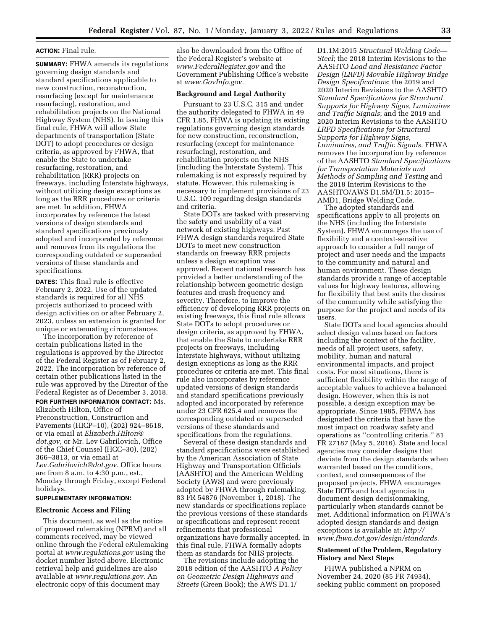# **ACTION:** Final rule.

**SUMMARY:** FHWA amends its regulations governing design standards and standard specifications applicable to new construction, reconstruction, resurfacing (except for maintenance resurfacing), restoration, and rehabilitation projects on the National Highway System (NHS). In issuing this final rule, FHWA will allow State departments of transportation (State DOT) to adopt procedures or design criteria, as approved by FHWA, that enable the State to undertake resurfacing, restoration, and rehabilitation (RRR) projects on freeways, including Interstate highways, without utilizing design exceptions as long as the RRR procedures or criteria are met. In addition, FHWA incorporates by reference the latest versions of design standards and standard specifications previously adopted and incorporated by reference and removes from its regulations the corresponding outdated or superseded versions of these standards and specifications.

**DATES:** This final rule is effective February 2, 2022. Use of the updated standards is required for all NHS projects authorized to proceed with design activities on or after February 2, 2023, unless an extension is granted for unique or extenuating circumstances.

The incorporation by reference of certain publications listed in the regulations is approved by the Director of the Federal Register as of February 2, 2022. The incorporation by reference of certain other publications listed in the rule was approved by the Director of the Federal Register as of December 3, 2018. **FOR FURTHER INFORMATION CONTACT:** Ms. Elizabeth Hilton, Office of Preconstruction, Construction and Pavements (HICP–10), (202) 924–8618, or via email at *[Elizabeth.Hilton@](mailto:Elizabeth.Hilton@dot.gov) [dot.gov,](mailto:Elizabeth.Hilton@dot.gov)* or Mr. Lev Gabrilovich, Office of the Chief Counsel (HCC–30), (202) 366–3813, or via email at *[Lev.Gabrilovich@dot.gov.](mailto:Lev.Gabrilovich@dot.gov)* Office hours are from 8 a.m. to 4:30 p.m., est., Monday through Friday, except Federal holidays.

### **SUPPLEMENTARY INFORMATION:**

#### **Electronic Access and Filing**

This document, as well as the notice of proposed rulemaking (NPRM) and all comments received, may be viewed online through the Federal eRulemaking portal at *[www.regulations.gov](http://www.regulations.gov)* using the docket number listed above. Electronic retrieval help and guidelines are also available at *[www.regulations.gov.](http://www.regulations.gov)* An electronic copy of this document may

also be downloaded from the Office of the Federal Register's website at *[www.FederalRegister.gov](http://www.FederalRegister.gov)* and the Government Publishing Office's website at *[www.GovInfo.gov.](http://www.GovInfo.gov)* 

#### **Background and Legal Authority**

Pursuant to 23 U.S.C. 315 and under the authority delegated to FHWA in 49 CFR 1.85, FHWA is updating its existing regulations governing design standards for new construction, reconstruction, resurfacing (except for maintenance resurfacing), restoration, and rehabilitation projects on the NHS (including the Interstate System). This rulemaking is not expressly required by statute. However, this rulemaking is necessary to implement provisions of 23 U.S.C. 109 regarding design standards and criteria.

State DOTs are tasked with preserving the safety and usability of a vast network of existing highways. Past FHWA design standards required State DOTs to meet new construction standards on freeway RRR projects unless a design exception was approved. Recent national research has provided a better understanding of the relationship between geometric design features and crash frequency and severity. Therefore, to improve the efficiency of developing RRR projects on existing freeways, this final rule allows State DOTs to adopt procedures or design criteria, as approved by FHWA, that enable the State to undertake RRR projects on freeways, including Interstate highways, without utilizing design exceptions as long as the RRR procedures or criteria are met. This final rule also incorporates by reference updated versions of design standards and standard specifications previously adopted and incorporated by reference under 23 CFR 625.4 and removes the corresponding outdated or superseded versions of these standards and specifications from the regulations.

Several of these design standards and standard specifications were established by the American Association of State Highway and Transportation Officials (AASHTO) and the American Welding Society (AWS) and were previously adopted by FHWA through rulemaking. 83 FR 54876 (November 1, 2018). The new standards or specifications replace the previous versions of these standards or specifications and represent recent refinements that professional organizations have formally accepted. In this final rule, FHWA formally adopts them as standards for NHS projects.

The revisions include adopting the 2018 edition of the AASHTO *A Policy on Geometric Design Highways and Streets* (Green Book); the AWS D1.1/

D1.1M:2015 *Structural Welding Code— Steel*; the 2018 Interim Revisions to the AASHTO *Load and Resistance Factor Design (LRFD) Movable Highway Bridge Design Specifications*; the 2019 and 2020 Interim Revisions to the AASHTO *Standard Specifications for Structural Supports for Highway Signs, Luminaires and Traffic Signals*; and the 2019 and 2020 Interim Revisions to the AASHTO *LRFD Specifications for Structural Supports for Highway Signs, Luminaires, and Traffic Signals.* FHWA removes the incorporation by reference of the AASHTO *Standard Specifications for Transportation Materials and Methods of Sampling and Testing* and the 2018 Interim Revisions to the AASHTO/AWS D1.5M/D1.5: 2015– AMD1, Bridge Welding Code.

The adopted standards and specifications apply to all projects on the NHS (including the Interstate System). FHWA encourages the use of flexibility and a context-sensitive approach to consider a full range of project and user needs and the impacts to the community and natural and human environment. These design standards provide a range of acceptable values for highway features, allowing for flexibility that best suits the desires of the community while satisfying the purpose for the project and needs of its users.

State DOTs and local agencies should select design values based on factors including the context of the facility, needs of all project users, safety, mobility, human and natural environmental impacts, and project costs. For most situations, there is sufficient flexibility within the range of acceptable values to achieve a balanced design. However, when this is not possible, a design exception may be appropriate. Since 1985, FHWA has designated the criteria that have the most impact on roadway safety and operations as ''controlling criteria.'' 81 FR 27187 (May 5, 2016). State and local agencies may consider designs that deviate from the design standards when warranted based on the conditions, context, and consequences of the proposed projects. FHWA encourages State DOTs and local agencies to document design decisionmaking, particularly when standards cannot be met. Additional information on FHWA's adopted design standards and design exceptions is available at: *[http://](http://www.fhwa.dot.gov/design/standards) [www.fhwa.dot.gov/design/standards.](http://www.fhwa.dot.gov/design/standards)* 

# **Statement of the Problem, Regulatory History and Next Steps**

FHWA published a NPRM on November 24, 2020 (85 FR 74934), seeking public comment on proposed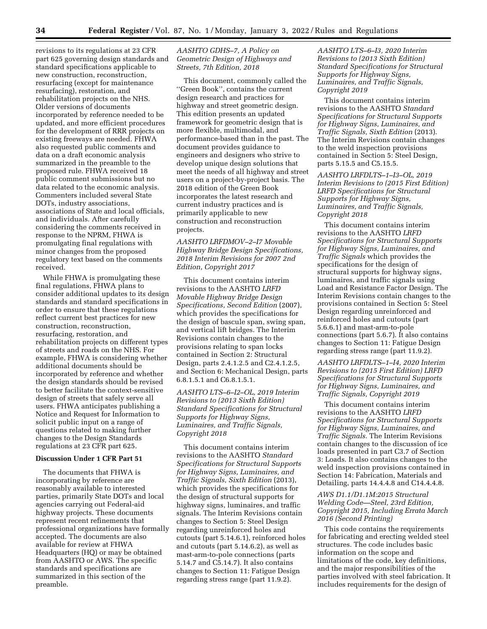revisions to its regulations at 23 CFR part 625 governing design standards and standard specifications applicable to new construction, reconstruction, resurfacing (except for maintenance resurfacing), restoration, and rehabilitation projects on the NHS. Older versions of documents incorporated by reference needed to be updated, and more efficient procedures for the development of RRR projects on existing freeways are needed. FHWA also requested public comments and data on a draft economic analysis summarized in the preamble to the proposed rule. FHWA received 18 public comment submissions but no data related to the economic analysis. Commenters included several State DOTs, industry associations, associations of State and local officials, and individuals. After carefully considering the comments received in response to the NPRM, FHWA is promulgating final regulations with minor changes from the proposed regulatory text based on the comments received.

While FHWA is promulgating these final regulations, FHWA plans to consider additional updates to its design standards and standard specifications in order to ensure that these regulations reflect current best practices for new construction, reconstruction, resurfacing, restoration, and rehabilitation projects on different types of streets and roads on the NHS. For example, FHWA is considering whether additional documents should be incorporated by reference and whether the design standards should be revised to better facilitate the context-sensitive design of streets that safely serve all users. FHWA anticipates publishing a Notice and Request for Information to solicit public input on a range of questions related to making further changes to the Design Standards regulations at 23 CFR part 625.

## **Discussion Under 1 CFR Part 51**

The documents that FHWA is incorporating by reference are reasonably available to interested parties, primarily State DOTs and local agencies carrying out Federal-aid highway projects. These documents represent recent refinements that professional organizations have formally accepted. The documents are also available for review at FHWA Headquarters (HQ) or may be obtained from AASHTO or AWS. The specific standards and specifications are summarized in this section of the preamble.

# *AASHTO GDHS–7, A Policy on Geometric Design of Highways and Streets, 7th Edition, 2018*

This document, commonly called the ''Green Book'', contains the current design research and practices for highway and street geometric design. This edition presents an updated framework for geometric design that is more flexible, multimodal, and performance-based than in the past. The document provides guidance to engineers and designers who strive to develop unique design solutions that meet the needs of all highway and street users on a project-by-project basis. The 2018 edition of the Green Book incorporates the latest research and current industry practices and is primarily applicable to new construction and reconstruction projects.

*AASHTO LRFDMOV–2–I7 Movable Highway Bridge Design Specifications, 2018 Interim Revisions for 2007 2nd Edition, Copyright 2017* 

This document contains interim revisions to the AASHTO *LRFD Movable Highway Bridge Design Specifications, Second Edition* (2007), which provides the specifications for the design of bascule span, swing span, and vertical lift bridges. The Interim Revisions contain changes to the provisions relating to span locks contained in Section 2: Structural Design, parts 2.4.1.2.5 and C2.4.1.2.5, and Section 6: Mechanical Design, parts 6.8.1.5.1 and C6.8.1.5.1.

*AASHTO LTS–6–I2–OL, 2019 Interim Revisions to (2013 Sixth Edition) Standard Specifications for Structural Supports for Highway Signs, Luminaires, and Traffic Signals, Copyright 2018* 

This document contains interim revisions to the AASHTO *Standard Specifications for Structural Supports for Highway Signs, Luminaires, and Traffic Signals, Sixth Edition* (2013), which provides the specifications for the design of structural supports for highway signs, luminaires, and traffic signals. The Interim Revisions contain changes to Section 5: Steel Design regarding unreinforced holes and cutouts (part 5.14.6.1), reinforced holes and cutouts (part 5.14.6.2), as well as mast-arm-to-pole connections (parts 5.14.7 and C5.14.7). It also contains changes to Section 11: Fatigue Design regarding stress range (part 11.9.2).

*AASHTO LTS–6–I3, 2020 Interim Revisions to (2013 Sixth Edition) Standard Specifications for Structural Supports for Highway Signs, Luminaires, and Traffic Signals, Copyright 2019* 

This document contains interim revisions to the AASHTO *Standard Specifications for Structural Supports for Highway Signs, Luminaires, and Traffic Signals, Sixth Edition* (2013). The Interim Revisions contain changes to the weld inspection provisions contained in Section 5: Steel Design, parts 5.15.5 and C5.15.5.

*AASHTO LRFDLTS–1–I3–OL, 2019 Interim Revisions to (2015 First Edition) LRFD Specifications for Structural Supports for Highway Signs, Luminaires, and Traffic Signals, Copyright 2018* 

This document contains interim revisions to the AASHTO *LRFD Specifications for Structural Supports for Highway Signs, Luminaires, and Traffic Signals* which provides the specifications for the design of structural supports for highway signs, luminaires, and traffic signals using Load and Resistance Factor Design. The Interim Revisions contain changes to the provisions contained in Section 5: Steel Design regarding unreinforced and reinforced holes and cutouts (part 5.6.6.1) and mast-arm-to-pole connections (part 5.6.7). It also contains changes to Section 11: Fatigue Design regarding stress range (part 11.9.2).

*AASHTO LRFDLTS–1–I4, 2020 Interim Revisions to (2015 First Edition) LRFD Specifications for Structural Supports for Highway Signs, Luminaires, and Traffic Signals, Copyright 2019* 

This document contains interim revisions to the AASHTO *LRFD Specifications for Structural Supports for Highway Signs, Luminaires, and Traffic Signals.* The Interim Revisions contain changes to the discussion of ice loads presented in part C3.7 of Section 3: Loads. It also contains changes to the weld inspection provisions contained in Section 14: Fabrication, Materials and Detailing, parts 14.4.4.8 and C14.4.4.8.

# *AWS D1.1/D1.1M:2015 Structural Welding Code—Steel, 23rd Edition, Copyright 2015, Including Errata March 2016 (Second Printing)*

This code contains the requirements for fabricating and erecting welded steel structures. The code includes basic information on the scope and limitations of the code, key definitions, and the major responsibilities of the parties involved with steel fabrication. It includes requirements for the design of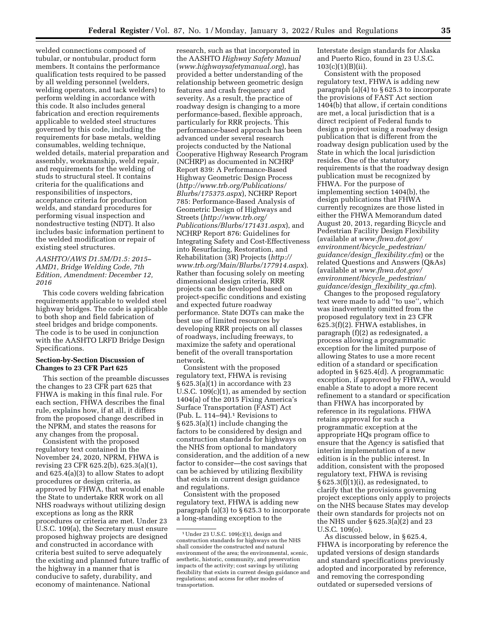welded connections composed of tubular, or nontubular, product form members. It contains the performance qualification tests required to be passed by all welding personnel (welders, welding operators, and tack welders) to perform welding in accordance with this code. It also includes general fabrication and erection requirements applicable to welded steel structures governed by this code, including the requirements for base metals, welding consumables, welding technique, welded details, material preparation and assembly, workmanship, weld repair, and requirements for the welding of studs to structural steel. It contains criteria for the qualifications and responsibilities of inspectors, acceptance criteria for production welds, and standard procedures for performing visual inspection and nondestructive testing (NDT). It also includes basic information pertinent to the welded modification or repair of existing steel structures.

# *AASHTO/AWS D1.5M/D1.5: 2015– AMD1, Bridge Welding Code, 7th Edition, Amendment: December 12, 2016*

This code covers welding fabrication requirements applicable to welded steel highway bridges. The code is applicable to both shop and field fabrication of steel bridges and bridge components. The code is to be used in conjunction with the AASHTO LRFD Bridge Design Specifications.

# **Section-by-Section Discussion of Changes to 23 CFR Part 625**

This section of the preamble discusses the changes to 23 CFR part 625 that FHWA is making in this final rule. For each section, FHWA describes the final rule, explains how, if at all, it differs from the proposed change described in the NPRM, and states the reasons for any changes from the proposal.

Consistent with the proposed regulatory text contained in the November 24, 2020, NPRM, FHWA is revising 23 CFR 625.2(b), 625.3(a)(1), and 625.4(a)(3) to allow States to adopt procedures or design criteria, as approved by FHWA, that would enable the State to undertake RRR work on all NHS roadways without utilizing design exceptions as long as the RRR procedures or criteria are met. Under 23 U.S.C. 109(a), the Secretary must ensure proposed highway projects are designed and constructed in accordance with criteria best suited to serve adequately the existing and planned future traffic of the highway in a manner that is conducive to safety, durability, and economy of maintenance. National

research, such as that incorporated in the AASHTO *Highway Safety Manual*  (*[www.highwaysafetymanual.org](http://www.highwaysafetymanual.org)*), has provided a better understanding of the relationship between geometric design features and crash frequency and severity. As a result, the practice of roadway design is changing to a more performance-based, flexible approach, particularly for RRR projects. This performance-based approach has been advanced under several research projects conducted by the National Cooperative Highway Research Program (NCHRP) as documented in NCHRP Report 839: A Performance-Based Highway Geometric Design Process (*[http://www.trb.org/Publications/](http://www.trb.org/Publications/Blurbs/175375.aspx) [Blurbs/175375.aspx](http://www.trb.org/Publications/Blurbs/175375.aspx)*), NCHRP Report 785: Performance-Based Analysis of Geometric Design of Highways and Streets (*[http://www.trb.org/](http://www.trb.org/Publications/Blurbs/171431.aspx) [Publications/Blurbs/171431.aspx](http://www.trb.org/Publications/Blurbs/171431.aspx)*), and NCHRP Report 876: Guidelines for Integrating Safety and Cost-Effectiveness into Resurfacing, Restoration, and Rehabilitation (3R) Projects (*[http://](http://www.trb.org/Main/Blurbs/177914.aspx) [www.trb.org/Main/Blurbs/177914.aspx](http://www.trb.org/Main/Blurbs/177914.aspx)*). Rather than focusing solely on meeting dimensional design criteria, RRR projects can be developed based on project-specific conditions and existing and expected future roadway performance. State DOTs can make the best use of limited resources by developing RRR projects on all classes of roadways, including freeways, to maximize the safety and operational benefit of the overall transportation network.

Consistent with the proposed regulatory text, FHWA is revising § 625.3(a)(1) in accordance with 23 U.S.C.  $109(c)(1)$ , as amended by section 1404(a) of the 2015 Fixing America's Surface Transportation (FAST) Act (Pub. L. 114–94).1 Revisions to § 625.3(a)(1) include changing the factors to be considered by design and construction standards for highways on the NHS from optional to mandatory consideration, and the addition of a new factor to consider—the cost savings that can be achieved by utilizing flexibility that exists in current design guidance and regulations.

Consistent with the proposed regulatory text, FHWA is adding new paragraph (a)(3) to § 625.3 to incorporate a long-standing exception to the

Interstate design standards for Alaska and Puerto Rico, found in 23 U.S.C. 103(c)(1)(B)(ii).

Consistent with the proposed regulatory text, FHWA is adding new paragraph (a)(4) to § 625.3 to incorporate the provisions of FAST Act section 1404(b) that allow, if certain conditions are met, a local jurisdiction that is a direct recipient of Federal funds to design a project using a roadway design publication that is different from the roadway design publication used by the State in which the local jurisdiction resides. One of the statutory requirements is that the roadway design publication must be recognized by FHWA. For the purpose of implementing section 1404(b), the design publications that FHWA currently recognizes are those listed in either the FHWA Memorandum dated August 20, 2013, regarding Bicycle and Pedestrian Facility Design Flexibility (available at *[www.fhwa.dot.gov/](http://www.fhwa.dot.gov/environment/bicycle_pedestrian/guidance/design_flexibility.cfm)  [environment/bicycle](http://www.fhwa.dot.gov/environment/bicycle_pedestrian/guidance/design_flexibility.cfm)*\_*pedestrian/ [guidance/design](http://www.fhwa.dot.gov/environment/bicycle_pedestrian/guidance/design_flexibility.cfm)*\_*flexibility.cfm*) or the related Questions and Answers (Q&As) (available at *[www.fhwa.dot.gov/](http://www.fhwa.dot.gov/environment/bicycle_pedestrian/guidance/design_flexibility_qa.cfm)  [environment/bicycle](http://www.fhwa.dot.gov/environment/bicycle_pedestrian/guidance/design_flexibility_qa.cfm)*\_*pedestrian/ [guidance/design](http://www.fhwa.dot.gov/environment/bicycle_pedestrian/guidance/design_flexibility_qa.cfm)*\_*flexibility*\_*qa.cfm*).

Changes to the proposed regulatory text were made to add ''to use'', which was inadvertently omitted from the proposed regulatory text in 23 CFR 625.3(f)(2). FHWA establishes, in paragraph (f)(2) as redesignated, a process allowing a programmatic exception for the limited purpose of allowing States to use a more recent edition of a standard or specification adopted in § 625.4(d). A programmatic exception, if approved by FHWA, would enable a State to adopt a more recent refinement to a standard or specification than FHWA has incorporated by reference in its regulations. FHWA retains approval for such a programmatic exception at the appropriate HQs program office to ensure that the Agency is satisfied that interim implementation of a new edition is in the public interest. In addition, consistent with the proposed regulatory text, FHWA is revising § 625.3(f)(1)(i), as redesignated, to clarify that the provisions governing project exceptions only apply to projects on the NHS because States may develop their own standards for projects not on the NHS under § 625.3(a)(2) and 23 U.S.C. 109(o).

As discussed below, in § 625.4, FHWA is incorporating by reference the updated versions of design standards and standard specifications previously adopted and incorporated by reference, and removing the corresponding outdated or superseded versions of

 $1$ Under 23 U.S.C.  $109(c)(1)$ , design and construction standards for highways on the NHS shall consider the constructed and natural environment of the area; the environmental, scenic, aesthetic, historic, community, and preservation impacts of the activity; cost savings by utilizing flexibility that exists in current design guidance and regulations; and access for other modes of transportation.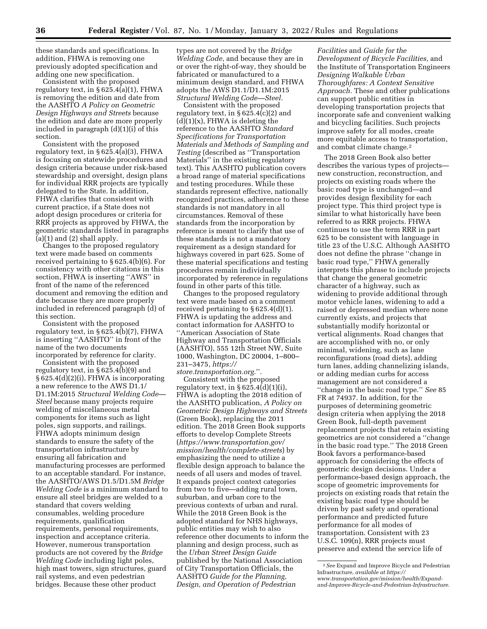these standards and specifications. In addition, FHWA is removing one previously adopted specification and adding one new specification.

Consistent with the proposed regulatory text, in § 625.4(a)(1), FHWA is removing the edition and date from the AASHTO *A Policy on Geometric Design Highways and Streets* because the edition and date are more properly included in paragraph (d)(1)(i) of this section.

Consistent with the proposed regulatory text, in § 625.4(a)(3), FHWA is focusing on statewide procedures and design criteria because under risk-based stewardship and oversight, design plans for individual RRR projects are typically delegated to the State. In addition, FHWA clarifies that consistent with current practice, if a State does not adopt design procedures or criteria for RRR projects as approved by FHWA, the geometric standards listed in paragraphs  $(a)(1)$  and  $(2)$  shall apply.

Changes to the proposed regulatory text were made based on comments received pertaining to § 625.4(b)(6). For consistency with other citations in this section, FHWA is inserting ''AWS'' in front of the name of the referenced document and removing the edition and date because they are more properly included in referenced paragraph (d) of this section.

Consistent with the proposed regulatory text, in § 625.4(b)(7), FHWA is inserting ''AASHTO'' in front of the name of the two documents incorporated by reference for clarity.

Consistent with the proposed regulatory text, in § 625.4(b)(9) and § 625.4(d)(2)(i), FHWA is incorporating a new reference to the AWS D1.1/ D1.1M:2015 *Structural Welding Code— Steel* because many projects require welding of miscellaneous metal components for items such as light poles, sign supports, and railings. FHWA adopts minimum design standards to ensure the safety of the transportation infrastructure by ensuring all fabrication and manufacturing processes are performed to an acceptable standard. For instance, the AASHTO/AWS D1.5/D1.5M *Bridge Welding Code* is a minimum standard to ensure all steel bridges are welded to a standard that covers welding consumables, welding procedure requirements, qualification requirements, personal requirements, inspection and acceptance criteria. However, numerous transportation products are not covered by the *Bridge Welding Code* including light poles, high mast towers, sign structures, guard rail systems, and even pedestrian bridges. Because these other product

types are not covered by the *Bridge Welding Code,* and because they are in or over the right-of-way, they should be fabricated or manufactured to a minimum design standard, and FHWA adopts the AWS D1.1/D1.1M:2015 *Structural Welding Code—Steel.* 

Consistent with the proposed regulatory text, in  $\S 625.4(c)(2)$  and  $(d)(1)(x)$ , FHWA is deleting the reference to the AASHTO *Standard Specifications for Transportation Materials and Methods of Sampling and Testing* (described as ''Transportation Materials'' in the existing regulatory text). This AASHTO publication covers a broad range of material specifications and testing procedures. While these standards represent effective, nationally recognized practices, adherence to these standards is not mandatory in all circumstances. Removal of these standards from the incorporation by reference is meant to clarify that use of these standards is not a mandatory requirement as a design standard for highways covered in part 625. Some of these material specifications and testing procedures remain individually incorporated by reference in regulations found in other parts of this title.

Changes to the proposed regulatory text were made based on a comment received pertaining to § 625.4(d)(1). FHWA is updating the address and contact information for AASHTO to ''American Association of State Highway and Transportation Officials (AASHTO), 555 12th Street NW, Suite 1000, Washington, DC 20004, 1–800– 231–3475, *[https://](https://store.transportation.org.)*

*[store.transportation.org.](https://store.transportation.org.)*''*.* 

Consistent with the proposed regulatory text, in  $\S 625.4(d)(1)(i)$ , FHWA is adopting the 2018 edition of the AASHTO publication, *A Policy on Geometric Design Highways and Streets*  (Green Book), replacing the 2011 edition. The 2018 Green Book supports efforts to develop Complete Streets (*[https://www.transportation.gov/](https://www.transportation.gov/mission/health/complete-streets) [mission/health/complete-streets](https://www.transportation.gov/mission/health/complete-streets)*) by emphasizing the need to utilize a flexible design approach to balance the needs of all users and modes of travel. It expands project context categories from two to five—adding rural town, suburban, and urban core to the previous contexts of urban and rural. While the 2018 Green Book is the adopted standard for NHS highways, public entities may wish to also reference other documents to inform the planning and design process, such as the *Urban Street Design Guide*  published by the National Association of City Transportation Officials, the AASHTO *Guide for the Planning, Design, and Operation of Pedestrian* 

*Facilities* and *Guide for the Development of Bicycle Facilities,* and the Institute of Transportation Engineers *Designing Walkable Urban Thoroughfares: A Context Sensitive Approach.* These and other publications can support public entities in developing transportation projects that incorporate safe and convenient walking and bicycling facilities. Such projects improve safety for all modes, create more equitable access to transportation, and combat climate change.2

The 2018 Green Book also better describes the various types of projects new construction, reconstruction, and projects on existing roads where the basic road type is unchanged—and provides design flexibility for each project type. This third project type is similar to what historically have been referred to as RRR projects. FHWA continues to use the term RRR in part 625 to be consistent with language in title 23 of the U.S.C. Although AASHTO does not define the phrase ''change in basic road type,'' FHWA generally interprets this phrase to include projects that change the general geometric character of a highway, such as widening to provide additional through motor vehicle lanes, widening to add a raised or depressed median where none currently exists, and projects that substantially modify horizontal or vertical alignments. Road changes that are accomplished with no, or only minimal, widening, such as lane reconfigurations (road diets), adding turn lanes, adding channelizing islands, or adding median curbs for access management are not considered a ''change in the basic road type.'' *See* 85 FR at 74937. In addition, for the purposes of determining geometric design criteria when applying the 2018 Green Book, full-depth pavement replacement projects that retain existing geometrics are not considered a ''change in the basic road type.'' The 2018 Green Book favors a performance-based approach for considering the effects of geometric design decisions. Under a performance-based design approach, the scope of geometric improvements for projects on existing roads that retain the existing basic road type should be driven by past safety and operational performance and predicted future performance for all modes of transportation. Consistent with 23 U.S.C. 109(n), RRR projects must preserve and extend the service life of

<sup>2</sup>*See* Expand and Improve Bicycle and Pedestrian Infrastructure, *available at [https://](https://www.transportation.gov/mission/health/Expand-and-Improve-Bicycle-and-Pedestrian-Infrastructure) [www.transportation.gov/mission/health/Expand](https://www.transportation.gov/mission/health/Expand-and-Improve-Bicycle-and-Pedestrian-Infrastructure)[and-Improve-Bicycle-and-Pedestrian-Infrastructure.](https://www.transportation.gov/mission/health/Expand-and-Improve-Bicycle-and-Pedestrian-Infrastructure)*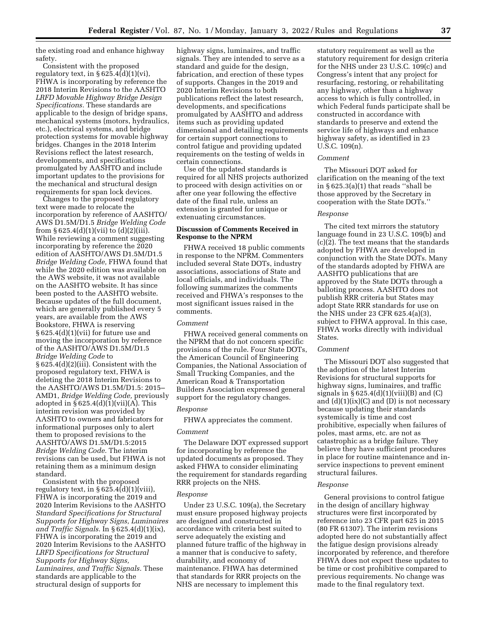the existing road and enhance highway safety.

Consistent with the proposed regulatory text, in  $\S 625.4(d)(1)(vi)$ , FHWA is incorporating by reference the 2018 Interim Revisions to the AASHTO *LRFD Movable Highway Bridge Design Specifications.* These standards are applicable to the design of bridge spans, mechanical systems (motors, hydraulics, etc.), electrical systems, and bridge protection systems for movable highway bridges. Changes in the 2018 Interim Revisions reflect the latest research, developments, and specifications promulgated by AASHTO and include important updates to the provisions for the mechanical and structural design requirements for span lock devices.

Changes to the proposed regulatory text were made to relocate the incorporation by reference of AASHTO/ AWS D1.5M/D1.5 *Bridge Welding Code*  from  $\S 625.4(d)(1)(vii)$  to  $(d)(2)(iii)$ . While reviewing a comment suggesting incorporating by reference the 2020 edition of AASHTO/AWS D1.5M/D1.5 *Bridge Welding Code,* FHWA found that while the 2020 edition was available on the AWS website, it was not available on the AASHTO website. It has since been posted to the AASHTO website. Because updates of the full document, which are generally published every 5 years, are available from the AWS Bookstore, FHWA is reserving § 625.4(d)(1)(vii) for future use and moving the incorporation by reference of the AASHTO/AWS D1.5M/D1.5 *Bridge Welding Code* to § 625.4(d)(2)(iii). Consistent with the proposed regulatory text, FHWA is deleting the 2018 Interim Revisions to the AASHTO/AWS D1.5M/D1.5: 2015– AMD1, *Bridge Welding Code,* previously adopted in  $§ 625.4(d)(1)(vii)(A)$ . This interim revision was provided by AASHTO to owners and fabricators for informational purposes only to alert them to proposed revisions to the AASHTO/AWS D1.5M/D1.5:2015 *Bridge Welding Code.* The interim revisions can be used, but FHWA is not retaining them as a minimum design standard.

Consistent with the proposed regulatory text, in § 625.4(d)(1)(viii), FHWA is incorporating the 2019 and 2020 Interim Revisions to the AASHTO *Standard Specifications for Structural Supports for Highway Signs, Luminaires and Traffic Signals.* In § 625.4(d)(1)(ix), FHWA is incorporating the 2019 and 2020 Interim Revisions to the AASHTO *LRFD Specifications for Structural Supports for Highway Signs, Luminaires, and Traffic Signals.* These standards are applicable to the structural design of supports for

highway signs, luminaires, and traffic signals. They are intended to serve as a standard and guide for the design, fabrication, and erection of these types of supports. Changes in the 2019 and 2020 Interim Revisions to both publications reflect the latest research, developments, and specifications promulgated by AASHTO and address items such as providing updated dimensional and detailing requirements for certain support connections to control fatigue and providing updated requirements on the testing of welds in certain connections.

Use of the updated standards is required for all NHS projects authorized to proceed with design activities on or after one year following the effective date of the final rule, unless an extension is granted for unique or extenuating circumstances.

# **Discussion of Comments Received in Response to the NPRM**

FHWA received 18 public comments in response to the NPRM. Commenters included several State DOTs, industry associations, associations of State and local officials, and individuals. The following summarizes the comments received and FHWA's responses to the most significant issues raised in the comments.

### *Comment*

FHWA received general comments on the NPRM that do not concern specific provisions of the rule. Four State DOTs, the American Council of Engineering Companies, the National Association of Small Trucking Companies, and the American Road & Transportation Builders Association expressed general support for the regulatory changes.

## *Response*

FHWA appreciates the comment.

# *Comment*

The Delaware DOT expressed support for incorporating by reference the updated documents as proposed. They asked FHWA to consider eliminating the requirement for standards regarding RRR projects on the NHS.

#### *Response*

Under 23 U.S.C. 109(a), the Secretary must ensure proposed highway projects are designed and constructed in accordance with criteria best suited to serve adequately the existing and planned future traffic of the highway in a manner that is conducive to safety, durability, and economy of maintenance. FHWA has determined that standards for RRR projects on the NHS are necessary to implement this

statutory requirement as well as the statutory requirement for design criteria for the NHS under 23 U.S.C. 109(c) and Congress's intent that any project for resurfacing, restoring, or rehabilitating any highway, other than a highway access to which is fully controlled, in which Federal funds participate shall be constructed in accordance with standards to preserve and extend the service life of highways and enhance highway safety, as identified in 23 U.S.C. 109(n).

### *Comment*

The Missouri DOT asked for clarification on the meaning of the text in § 625.3(a)(1) that reads ''shall be those approved by the Secretary in cooperation with the State DOTs.''

# *Response*

The cited text mirrors the statutory language found in 23 U.S.C. 109(b) and (c)(2). The text means that the standards adopted by FHWA are developed in conjunction with the State DOTs. Many of the standards adopted by FHWA are AASHTO publications that are approved by the State DOTs through a balloting process. AASHTO does not publish RRR criteria but States may adopt State RRR standards for use on the NHS under 23 CFR 625.4(a)(3), subject to FHWA approval. In this case, FHWA works directly with individual States.

# *Comment*

The Missouri DOT also suggested that the adoption of the latest Interim Revisions for structural supports for highway signs, luminaires, and traffic signals in  $\S 625.4(d)(1)(viii)(B)$  and  $(C)$ and  $(d)(1)(ix)(C)$  and  $(D)$  is not necessary because updating their standards systemically is time and cost prohibitive, especially when failures of poles, mast arms, etc. are not as catastrophic as a bridge failure. They believe they have sufficient procedures in place for routine maintenance and inservice inspections to prevent eminent structural failures.

#### *Response*

General provisions to control fatigue in the design of ancillary highway structures were first incorporated by reference into 23 CFR part 625 in 2015 (80 FR 61307). The interim revisions adopted here do not substantially affect the fatigue design provisions already incorporated by reference, and therefore FHWA does not expect these updates to be time or cost prohibitive compared to previous requirements. No change was made to the final regulatory text.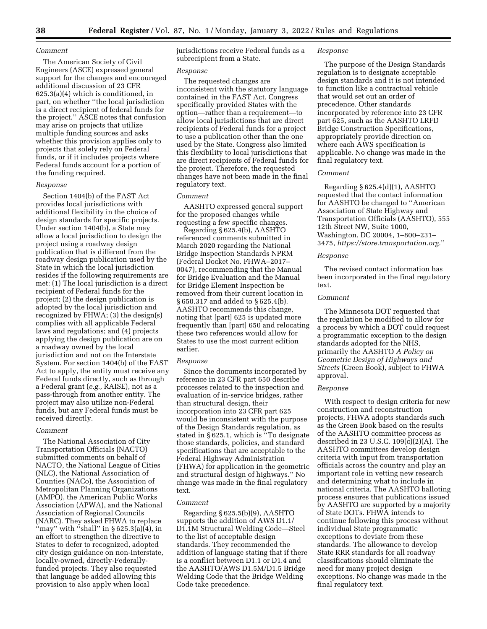### *Comment*

The American Society of Civil Engineers (ASCE) expressed general support for the changes and encouraged additional discussion of 23 CFR 625.3(a)(4) which is conditioned, in part, on whether ''the local jurisdiction is a direct recipient of federal funds for the project.'' ASCE notes that confusion may arise on projects that utilize multiple funding sources and asks whether this provision applies only to projects that solely rely on Federal funds, or if it includes projects where Federal funds account for a portion of the funding required.

#### *Response*

Section 1404(b) of the FAST Act provides local jurisdictions with additional flexibility in the choice of design standards for specific projects. Under section 1404(b), a State may allow a local jurisdiction to design the project using a roadway design publication that is different from the roadway design publication used by the State in which the local jurisdiction resides if the following requirements are met: (1) The local jurisdiction is a direct recipient of Federal funds for the project; (2) the design publication is adopted by the local jurisdiction and recognized by FHWA; (3) the design(s) complies with all applicable Federal laws and regulations; and (4) projects applying the design publication are on a roadway owned by the local jurisdiction and not on the Interstate System. For section 1404(b) of the FAST Act to apply, the entity must receive any Federal funds directly, such as through a Federal grant (*e.g.,* RAISE), not as a pass-through from another entity. The project may also utilize non-Federal funds, but any Federal funds must be received directly.

# *Comment*

The National Association of City Transportation Officials (NACTO) submitted comments on behalf of NACTO, the National League of Cities (NLC), the National Association of Counties (NACo), the Association of Metropolitan Planning Organizations (AMPO), the American Public Works Association (APWA), and the National Association of Regional Councils (NARC). They asked FHWA to replace "may" with "shall" in  $\S 625.3(a)(4)$ , in an effort to strengthen the directive to States to defer to recognized, adopted city design guidance on non-Interstate, locally-owned, directly-Federallyfunded projects. They also requested that language be added allowing this provision to also apply when local

jurisdictions receive Federal funds as a subrecipient from a State.

#### *Response*

The requested changes are inconsistent with the statutory language contained in the FAST Act. Congress specifically provided States with the option—rather than a requirement—to allow local jurisdictions that are direct recipients of Federal funds for a project to use a publication other than the one used by the State. Congress also limited this flexibility to local jurisdictions that are direct recipients of Federal funds for the project. Therefore, the requested changes have not been made in the final regulatory text.

### *Comment*

AASHTO expressed general support for the proposed changes while requesting a few specific changes.

Regarding § 625.4(b), AASHTO referenced comments submitted in March 2020 regarding the National Bridge Inspection Standards NPRM (Federal Docket No. FHWA–2017– 0047), recommending that the Manual for Bridge Evaluation and the Manual for Bridge Element Inspection be removed from their current location in § 650.317 and added to § 625.4(b). AASHTO recommends this change, noting that [part] 625 is updated more frequently than [part] 650 and relocating these two references would allow for States to use the most current edition earlier.

## *Response*

Since the documents incorporated by reference in 23 CFR part 650 describe processes related to the inspection and evaluation of in-service bridges, rather than structural design, their incorporation into 23 CFR part 625 would be inconsistent with the purpose of the Design Standards regulation, as stated in § 625.1, which is ''To designate those standards, policies, and standard specifications that are acceptable to the Federal Highway Administration (FHWA) for application in the geometric and structural design of highways.'' No change was made in the final regulatory text.

### *Comment*

Regarding § 625.5(b)(9), AASHTO supports the addition of AWS D1.1/ D1.1M Structural Welding Code—Steel to the list of acceptable design standards. They recommended the addition of language stating that if there is a conflict between D1.1 or D1.4 and the AASHTO/AWS D1.5M/D1.5 Bridge Welding Code that the Bridge Welding Code take precedence.

### *Response*

The purpose of the Design Standards regulation is to designate acceptable design standards and it is not intended to function like a contractual vehicle that would set out an order of precedence. Other standards incorporated by reference into 23 CFR part 625, such as the AASHTO LRFD Bridge Construction Specifications, appropriately provide direction on where each AWS specification is applicable. No change was made in the final regulatory text.

# *Comment*

Regarding § 625.4(d)(1), AASHTO requested that the contact information for AASHTO be changed to ''American Association of State Highway and Transportation Officials (AASHTO), 555 12th Street NW, Suite 1000, Washington, DC 20004, 1–800–231– 3475, *[https://store.transportation.org.](https://store.transportation.org)*''

#### *Response*

The revised contact information has been incorporated in the final regulatory text.

# *Comment*

The Minnesota DOT requested that the regulation be modified to allow for a process by which a DOT could request a programmatic exception to the design standards adopted for the NHS, primarily the AASHTO *A Policy on Geometric Design of Highways and Streets* (Green Book), subject to FHWA approval.

#### *Response*

With respect to design criteria for new construction and reconstruction projects, FHWA adopts standards such as the Green Book based on the results of the AASHTO committee process as described in 23 U.S.C. 109(c)(2)(A). The AASHTO committees develop design criteria with input from transportation officials across the country and play an important role in vetting new research and determining what to include in national criteria. The AASHTO balloting process ensures that publications issued by AASHTO are supported by a majority of State DOTs. FHWA intends to continue following this process without individual State programmatic exceptions to deviate from these standards. The allowance to develop State RRR standards for all roadway classifications should eliminate the need for many project design exceptions. No change was made in the final regulatory text.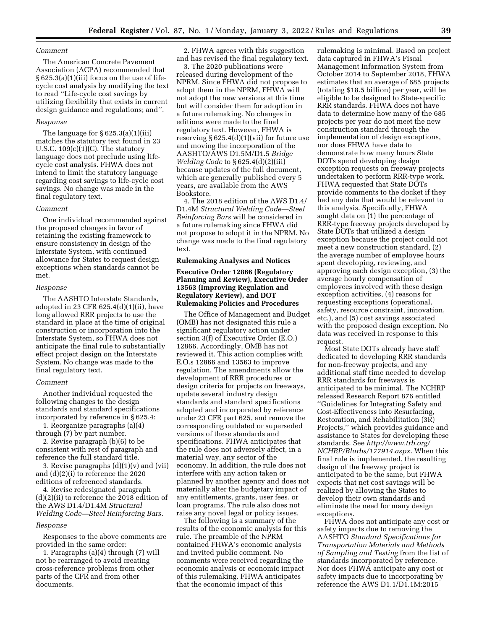# *Comment*

The American Concrete Pavement Association (ACPA) recommended that § 625.3(a)(1)(iii) focus on the use of lifecycle cost analysis by modifying the text to read ''Life-cycle cost savings by utilizing flexibility that exists in current design guidance and regulations; and''.

### *Response*

The language for § 625.3(a)(1)(iii) matches the statutory text found in 23 U.S.C.  $109(c)(1)(C)$ . The statutory language does not preclude using lifecycle cost analysis. FHWA does not intend to limit the statutory language regarding cost savings to life-cycle cost savings. No change was made in the final regulatory text.

### *Comment*

One individual recommended against the proposed changes in favor of retaining the existing framework to ensure consistency in design of the Interstate System, with continued allowance for States to request design exceptions when standards cannot be met.

#### *Response*

The AASHTO Interstate Standards, adopted in 23 CFR  $625.4(d)(1)(ii)$ , have long allowed RRR projects to use the standard in place at the time of original construction or incorporation into the Interstate System, so FHWA does not anticipate the final rule to substantially effect project design on the Interstate System. No change was made to the final regulatory text.

#### *Comment*

Another individual requested the following changes to the design standards and standard specifications incorporated by reference in § 625.4:

1. Reorganize paragraphs (a)(4) through (7) by part number.

2. Revise paragraph (b)(6) to be consistent with rest of paragraph and reference the full standard title.

3. Revise paragraphs (d)(1)(v) and (vii) and (d)(2)(i) to reference the 2020 editions of referenced standards.

4. Revise redesignated paragraph (d)(2)(ii) to reference the 2018 edition of the AWS D1.4/D1.4M *Structural Welding Code—Steel Reinforcing Bars.* 

#### *Response*

Responses to the above comments are provided in the same order:

1. Paragraphs (a)(4) through (7) will not be rearranged to avoid creating cross-reference problems from other parts of the CFR and from other documents.

2. FHWA agrees with this suggestion and has revised the final regulatory text.

3. The 2020 publications were released during development of the NPRM. Since FHWA did not propose to adopt them in the NPRM, FHWA will not adopt the new versions at this time but will consider them for adoption in a future rulemaking. No changes in editions were made to the final regulatory text. However, FHWA is reserving § 625.4(d)(1)(vii) for future use and moving the incorporation of the AASHTO/AWS D1.5M/D1.5 *Bridge Welding Code* to § 625.4(d)(2)(iii) because updates of the full document, which are generally published every 5 years, are available from the AWS Bookstore.

4. The 2018 edition of the AWS D1.4/ D1.4M *Structural Welding Code—Steel Reinforcing Bars* will be considered in a future rulemaking since FHWA did not propose to adopt it in the NPRM. No change was made to the final regulatory text.

### **Rulemaking Analyses and Notices**

# **Executive Order 12866 (Regulatory Planning and Review), Executive Order 13563 (Improving Regulation and Regulatory Review), and DOT Rulemaking Policies and Procedures**

The Office of Management and Budget (OMB) has not designated this rule a significant regulatory action under section 3(f) of Executive Order (E.O.) 12866. Accordingly, OMB has not reviewed it. This action complies with E.O.s 12866 and 13563 to improve regulation. The amendments allow the development of RRR procedures or design criteria for projects on freeways, update several industry design standards and standard specifications adopted and incorporated by reference under 23 CFR part 625, and remove the corresponding outdated or superseded versions of these standards and specifications. FHWA anticipates that the rule does not adversely affect, in a material way, any sector of the economy. In addition, the rule does not interfere with any action taken or planned by another agency and does not materially alter the budgetary impact of any entitlements, grants, user fees, or loan programs. The rule also does not raise any novel legal or policy issues.

The following is a summary of the results of the economic analysis for this rule. The preamble of the NPRM contained FHWA's economic analysis and invited public comment. No comments were received regarding the economic analysis or economic impact of this rulemaking. FHWA anticipates that the economic impact of this

rulemaking is minimal. Based on project data captured in FHWA's Fiscal Management Information System from October 2014 to September 2018, FHWA estimates that an average of 685 projects (totaling \$18.5 billion) per year, will be eligible to be designed to State-specific RRR standards. FHWA does not have data to determine how many of the 685 projects per year do not meet the new construction standard through the implementation of design exceptions, nor does FHWA have data to demonstrate how many hours State DOTs spend developing design exception requests on freeway projects undertaken to perform RRR-type work. FHWA requested that State DOTs provide comments to the docket if they had any data that would be relevant to this analysis. Specifically, FHWA sought data on (1) the percentage of RRR-type freeway projects developed by State DOTs that utilized a design exception because the project could not meet a new construction standard, (2) the average number of employee hours spent developing, reviewing, and approving each design exception, (3) the average hourly compensation of employees involved with these design exception activities, (4) reasons for requesting exceptions (operational, safety, resource constraint, innovation, etc.), and (5) cost savings associated with the proposed design exception. No data was received in response to this request.

Most State DOTs already have staff dedicated to developing RRR standards for non-freeway projects, and any additional staff time needed to develop RRR standards for freeways is anticipated to be minimal. The NCHRP released Research Report 876 entitled ''Guidelines for Integrating Safety and Cost-Effectiveness into Resurfacing, Restoration, and Rehabilitation (3R) Projects,'' which provides guidance and assistance to States for developing these standards. See *[http://www.trb.org/](http://www.trb.org/NCHRP/Blurbs/177914.aspx)  [NCHRP/Blurbs/177914.aspx.](http://www.trb.org/NCHRP/Blurbs/177914.aspx)* When this final rule is implemented, the resulting design of the freeway project is anticipated to be the same, but FHWA expects that net cost savings will be realized by allowing the States to develop their own standards and eliminate the need for many design exceptions.

FHWA does not anticipate any cost or safety impacts due to removing the AASHTO *Standard Specifications for Transportation Materials and Methods of Sampling and Testing* from the list of standards incorporated by reference. Nor does FHWA anticipate any cost or safety impacts due to incorporating by reference the AWS D1.1/D1.1M:2015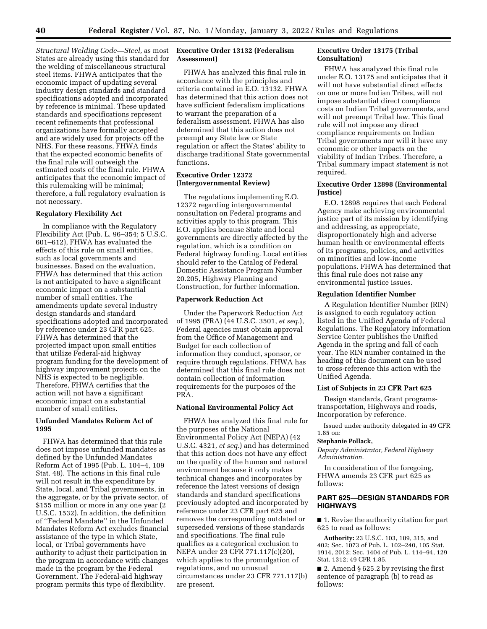*Structural Welding Code—Steel,* as most States are already using this standard for the welding of miscellaneous structural steel items. FHWA anticipates that the economic impact of updating several industry design standards and standard specifications adopted and incorporated by reference is minimal. These updated standards and specifications represent recent refinements that professional organizations have formally accepted and are widely used for projects off the NHS. For these reasons, FHWA finds that the expected economic benefits of the final rule will outweigh the estimated costs of the final rule. FHWA anticipates that the economic impact of this rulemaking will be minimal; therefore, a full regulatory evaluation is not necessary.

## **Regulatory Flexibility Act**

In compliance with the Regulatory Flexibility Act (Pub. L. 96–354; 5 U.S.C. 601–612), FHWA has evaluated the effects of this rule on small entities, such as local governments and businesses. Based on the evaluation, FHWA has determined that this action is not anticipated to have a significant economic impact on a substantial number of small entities. The amendments update several industry design standards and standard specifications adopted and incorporated by reference under 23 CFR part 625. FHWA has determined that the projected impact upon small entities that utilize Federal-aid highway program funding for the development of highway improvement projects on the NHS is expected to be negligible. Therefore, FHWA certifies that the action will not have a significant economic impact on a substantial number of small entities.

# **Unfunded Mandates Reform Act of 1995**

FHWA has determined that this rule does not impose unfunded mandates as defined by the Unfunded Mandates Reform Act of 1995 (Pub. L. 104–4, 109 Stat. 48). The actions in this final rule will not result in the expenditure by State, local, and Tribal governments, in the aggregate, or by the private sector, of \$155 million or more in any one year (2 U.S.C. 1532). In addition, the definition of ''Federal Mandate'' in the Unfunded Mandates Reform Act excludes financial assistance of the type in which State, local, or Tribal governments have authority to adjust their participation in the program in accordance with changes made in the program by the Federal Government. The Federal-aid highway program permits this type of flexibility.

# **Executive Order 13132 (Federalism Assessment)**

FHWA has analyzed this final rule in accordance with the principles and criteria contained in E.O. 13132. FHWA has determined that this action does not have sufficient federalism implications to warrant the preparation of a federalism assessment. FHWA has also determined that this action does not preempt any State law or State regulation or affect the States' ability to discharge traditional State governmental functions.

# **Executive Order 12372 (Intergovernmental Review)**

The regulations implementing E.O. 12372 regarding intergovernmental consultation on Federal programs and activities apply to this program. This E.O. applies because State and local governments are directly affected by the regulation, which is a condition on Federal highway funding. Local entities should refer to the Catalog of Federal Domestic Assistance Program Number 20.205, Highway Planning and Construction, for further information.

### **Paperwork Reduction Act**

Under the Paperwork Reduction Act of 1995 (PRA) (44 U.S.C. 3501, *et seq.*), Federal agencies must obtain approval from the Office of Management and Budget for each collection of information they conduct, sponsor, or require through regulations. FHWA has determined that this final rule does not contain collection of information requirements for the purposes of the PRA.

### **National Environmental Policy Act**

FHWA has analyzed this final rule for the purposes of the National Environmental Policy Act (NEPA) (42 U.S.C. 4321, *et seq.*) and has determined that this action does not have any effect on the quality of the human and natural environment because it only makes technical changes and incorporates by reference the latest versions of design standards and standard specifications previously adopted and incorporated by reference under 23 CFR part 625 and removes the corresponding outdated or superseded versions of these standards and specifications. The final rule qualifies as a categorical exclusion to NEPA under 23 CFR 771.117(c)(20), which applies to the promulgation of regulations, and no unusual circumstances under 23 CFR 771.117(b) are present.

# **Executive Order 13175 (Tribal Consultation)**

FHWA has analyzed this final rule under E.O. 13175 and anticipates that it will not have substantial direct effects on one or more Indian Tribes, will not impose substantial direct compliance costs on Indian Tribal governments, and will not preempt Tribal law. This final rule will not impose any direct compliance requirements on Indian Tribal governments nor will it have any economic or other impacts on the viability of Indian Tribes. Therefore, a Tribal summary impact statement is not required.

### **Executive Order 12898 (Environmental Justice)**

E.O. 12898 requires that each Federal Agency make achieving environmental justice part of its mission by identifying and addressing, as appropriate, disproportionately high and adverse human health or environmental effects of its programs, policies, and activities on minorities and low-income populations. FHWA has determined that this final rule does not raise any environmental justice issues.

#### **Regulation Identifier Number**

A Regulation Identifier Number (RIN) is assigned to each regulatory action listed in the Unified Agenda of Federal Regulations. The Regulatory Information Service Center publishes the Unified Agenda in the spring and fall of each year. The RIN number contained in the heading of this document can be used to cross-reference this action with the Unified Agenda.

# **List of Subjects in 23 CFR Part 625**

Design standards, Grant programstransportation, Highways and roads, Incorporation by reference.

Issued under authority delegated in 49 CFR 1.85 on:

#### **Stephanie Pollack,**

*Deputy Administrator, Federal Highway Administration.* 

In consideration of the foregoing, FHWA amends 23 CFR part 625 as follows:

# **PART 625—DESIGN STANDARDS FOR HIGHWAYS**

■ 1. Revise the authority citation for part 625 to read as follows:

**Authority:** 23 U.S.C. 103, 109, 315, and 402; Sec. 1073 of Pub. L. 102–240, 105 Stat. 1914, 2012; Sec. 1404 of Pub. L. 114–94, 129 Stat. 1312; 49 CFR 1.85.

■ 2. Amend § 625.2 by revising the first sentence of paragraph (b) to read as follows: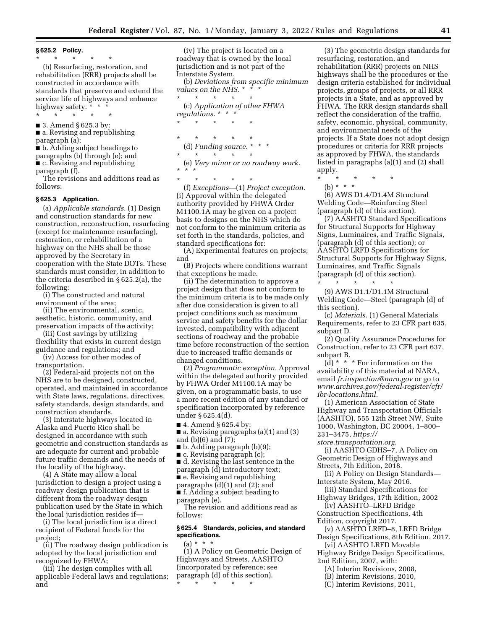**§ 625.2 Policy.** 

\* \* \* \* \*

(b) Resurfacing, restoration, and rehabilitation (RRR) projects shall be constructed in accordance with standards that preserve and extend the service life of highways and enhance highway safety. \* \* \*

\* \* \* \* \*

■ 3. Amend § 625.3 by: ■ a. Revising and republishing

paragraph (a);

■ b. Adding subject headings to paragraphs (b) through (e); and

■ c. Revising and republishing paragraph (f).

The revisions and additions read as follows:

#### **§ 625.3 Application.**

(a) *Applicable standards.* (1) Design and construction standards for new construction, reconstruction, resurfacing (except for maintenance resurfacing), restoration, or rehabilitation of a highway on the NHS shall be those approved by the Secretary in cooperation with the State DOTs. These standards must consider, in addition to the criteria described in § 625.2(a), the following:

(i) The constructed and natural environment of the area;

(ii) The environmental, scenic, aesthetic, historic, community, and preservation impacts of the activity;

(iii) Cost savings by utilizing flexibility that exists in current design guidance and regulations; and

(iv) Access for other modes of transportation.

(2) Federal-aid projects not on the NHS are to be designed, constructed, operated, and maintained in accordance with State laws, regulations, directives, safety standards, design standards, and construction standards.

(3) Interstate highways located in Alaska and Puerto Rico shall be designed in accordance with such geometric and construction standards as are adequate for current and probable future traffic demands and the needs of the locality of the highway.

(4) A State may allow a local jurisdiction to design a project using a roadway design publication that is different from the roadway design publication used by the State in which the local jurisdiction resides if—

(i) The local jurisdiction is a direct recipient of Federal funds for the project;

(ii) The roadway design publication is adopted by the local jurisdiction and recognized by FHWA;

(iii) The design complies with all applicable Federal laws and regulations; and

(iv) The project is located on a roadway that is owned by the local jurisdiction and is not part of the Interstate System.

(b) *Deviations from specific minimum values on the NHS.* \* \* \*

\* \* \* \* \* (c) *Application of other FHWA regulations.* \* \* \*

\* \* \* \* \*

\* \* \* \* \*

(d) *Funding source.* \* \* \*

\* \* \* \* \* (e) *Very minor or no roadway work.* 

\* \* \*

\* \* \* \* \* (f) *Exceptions*—(1) *Project exception.*  (i) Approval within the delegated authority provided by FHWA Order M1100.1A may be given on a project basis to designs on the NHS which do not conform to the minimum criteria as set forth in the standards, policies, and standard specifications for:

(A) Experimental features on projects; and

(B) Projects where conditions warrant that exceptions be made.

(ii) The determination to approve a project design that does not conform to the minimum criteria is to be made only after due consideration is given to all project conditions such as maximum service and safety benefits for the dollar invested, compatibility with adjacent sections of roadway and the probable time before reconstruction of the section due to increased traffic demands or changed conditions.

(2) *Programmatic exception.* Approval within the delegated authority provided by FHWA Order M1100.1A may be given, on a programmatic basis, to use a more recent edition of any standard or specification incorporated by reference under § 625.4(d).

■ 4. Amend § 625.4 by:

■ a. Revising paragraphs (a)(1) and (3) and (b)(6) and (7);

■ b. Adding paragraph (b)(9);

■ c. Revising paragraph (c);

■ d. Revising the last sentence in the

paragraph (d) introductory text;

■ e. Revising and republishing

paragraphs (d)(1) and (2); and ■ f. Adding a subject heading to

paragraph (e).

The revision and additions read as follows:

# **§ 625.4 Standards, policies, and standard specifications.**

 $(a) * * * *$ 

(1) A Policy on Geometric Design of Highways and Streets, AASHTO (incorporated by reference; see paragraph (d) of this section). \* \* \* \* \*

(3) The geometric design standards for resurfacing, restoration, and rehabilitation (RRR) projects on NHS highways shall be the procedures or the design criteria established for individual projects, groups of projects, or all RRR projects in a State, and as approved by FHWA. The RRR design standards shall reflect the consideration of the traffic, safety, economic, physical, community, and environmental needs of the projects. If a State does not adopt design procedures or criteria for RRR projects as approved by FHWA, the standards listed in paragraphs (a)(1) and (2) shall apply.

\* \* \* \* \*

(b) \* \* \*

(6) AWS D1.4/D1.4M Structural Welding Code—Reinforcing Steel (paragraph (d) of this section).

(7) AASHTO Standard Specifications for Structural Supports for Highway Signs, Luminaires, and Traffic Signals, (paragraph (d) of this section); or AASHTO LRFD Specifications for Structural Supports for Highway Signs, Luminaires, and Traffic Signals (paragraph (d) of this section).

\* \* \* \* \* (9) AWS D1.1/D1.1M Structural Welding Code—Steel (paragraph (d) of this section).

(c) *Materials.* (1) General Materials Requirements, refer to 23 CFR part 635, subpart D.

(2) Quality Assurance Procedures for Construction, refer to 23 CFR part 637, subpart B.

 $(d) * * *$  For information on the availability of this material at NARA, email *[fr.inspection@nara.gov](mailto:fr.inspection@nara.gov)* or go to *[www.archives.gov/federal-register/cfr/](http://www.archives.gov/federal-register/cfr/ibr-locations.html)  [ibr-locations.html.](http://www.archives.gov/federal-register/cfr/ibr-locations.html)* 

(1) American Association of State Highway and Transportation Officials (AASHTO), 555 12th Street NW, Suite 1000, Washington, DC 20004, 1–800– 231–3475, *[https://](https://store.transportation.org.)*

*[store.transportation.org.](https://store.transportation.org.)* 

(i) AASHTO GDHS–7, A Policy on Geometric Design of Highways and Streets, 7th Edition, 2018.

(ii) A Policy on Design Standards— Interstate System, May 2016.

(iii) Standard Specifications for Highway Bridges, 17th Edition, 2002

(iv) AASHTO–LRFD Bridge Construction Specifications, 4th

Edition, copyright 2017.

(v) AASHTO LRFD–8, LRFD Bridge Design Specifications, 8th Edition, 2017. (vi) AASHTO LRFD Movable

Highway Bridge Design Specifications, 2nd Edition, 2007, with:

(A) Interim Revisions, 2008,

(B) Interim Revisions, 2010,

(C) Interim Revisions, 2011,